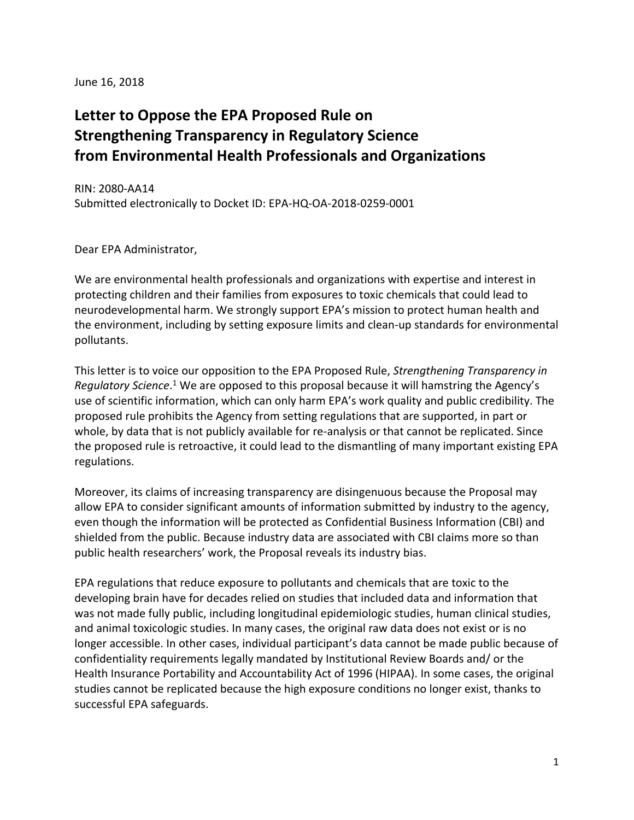June 16, 2018

# **Letter to Oppose the EPA Proposed Rule on Strengthening Transparency in Regulatory Science from Environmental Health Professionals and Organizations**

RIN: 2080-AA14 Submitted electronically to Docket ID: EPA-HQ-OA-2018-0259-0001

Dear EPA Administrator,

We are environmental health professionals and organizations with expertise and interest in protecting children and their families from exposures to toxic chemicals that could lead to neurodevelopmental harm. We strongly support EPA's mission to protect human health and the environment, including by setting exposure limits and clean-up standards for environmental pollutants.

This letter is to voice our opposition to the EPA Proposed Rule, *Strengthening Transparency in*  Regulatory Science.<sup>1</sup> We are opposed to this proposal because it will hamstring the Agency's use of scientific information, which can only harm EPA's work quality and public credibility. The proposed rule prohibits the Agency from setting regulations that are supported, in part or whole, by data that is not publicly available for re-analysis or that cannot be replicated. Since the proposed rule is retroactive, it could lead to the dismantling of many important existing EPA regulations.

Moreover, its claims of increasing transparency are disingenuous because the Proposal may allow EPA to consider significant amounts of information submitted by industry to the agency, even though the information will be protected as Confidential Business Information (CBI) and shielded from the public. Because industry data are associated with CBI claims more so than public health researchers' work, the Proposal reveals its industry bias.

EPA regulations that reduce exposure to pollutants and chemicals that are toxic to the developing brain have for decades relied on studies that included data and information that was not made fully public, including longitudinal epidemiologic studies, human clinical studies, and animal toxicologic studies. In many cases, the original raw data does not exist or is no longer accessible. In other cases, individual participant's data cannot be made public because of confidentiality requirements legally mandated by Institutional Review Boards and/ or the Health Insurance Portability and Accountability Act of 1996 (HIPAA). In some cases, the original studies cannot be replicated because the high exposure conditions no longer exist, thanks to successful EPA safeguards.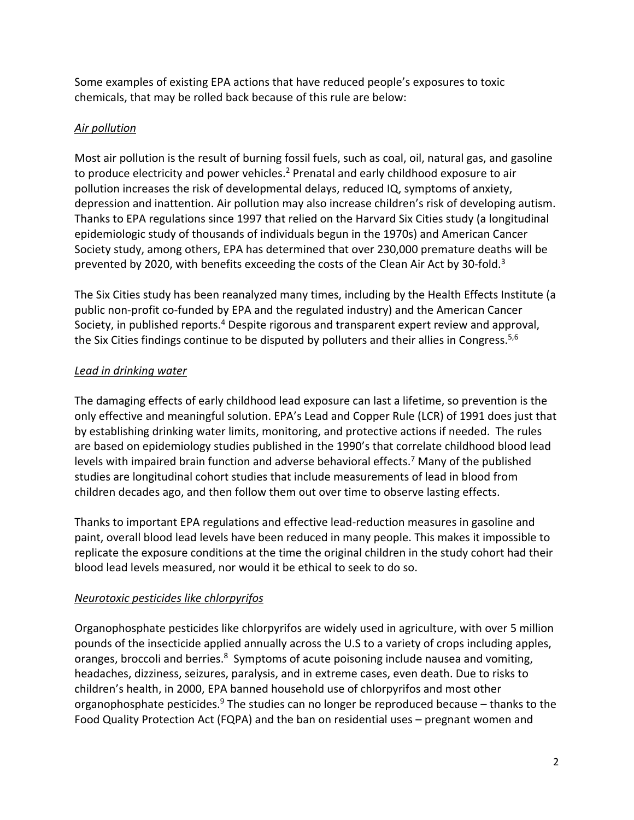Some examples of existing EPA actions that have reduced people's exposures to toxic chemicals, that may be rolled back because of this rule are below:

### *Air pollution*

Most air pollution is the result of burning fossil fuels, such as coal, oil, natural gas, and gasoline to produce electricity and power vehicles.<sup>2</sup> Prenatal and early childhood exposure to air pollution increases the risk of developmental delays, reduced IQ, symptoms of anxiety, depression and inattention. Air pollution may also increase children's risk of developing autism. Thanks to EPA regulations since 1997 that relied on the Harvard Six Cities study (a longitudinal epidemiologic study of thousands of individuals begun in the 1970s) and American Cancer Society study, among others, EPA has determined that over 230,000 premature deaths will be prevented by 2020, with benefits exceeding the costs of the Clean Air Act by 30-fold. $3$ 

The Six Cities study has been reanalyzed many times, including by the Health Effects Institute (a public non-profit co-funded by EPA and the regulated industry) and the American Cancer Society, in published reports.<sup>4</sup> Despite rigorous and transparent expert review and approval, the Six Cities findings continue to be disputed by polluters and their allies in Congress.<sup>5,6</sup>

## *Lead in drinking water*

The damaging effects of early childhood lead exposure can last a lifetime, so prevention is the only effective and meaningful solution. EPA's Lead and Copper Rule (LCR) of 1991 does just that by establishing drinking water limits, monitoring, and protective actions if needed. The rules are based on epidemiology studies published in the 1990's that correlate childhood blood lead levels with impaired brain function and adverse behavioral effects.<sup>7</sup> Many of the published studies are longitudinal cohort studies that include measurements of lead in blood from children decades ago, and then follow them out over time to observe lasting effects.

Thanks to important EPA regulations and effective lead-reduction measures in gasoline and paint, overall blood lead levels have been reduced in many people. This makes it impossible to replicate the exposure conditions at the time the original children in the study cohort had their blood lead levels measured, nor would it be ethical to seek to do so.

## *Neurotoxic pesticides like chlorpyrifos*

Organophosphate pesticides like chlorpyrifos are widely used in agriculture, with over 5 million pounds of the insecticide applied annually across the U.S to a variety of crops including apples, oranges, broccoli and berries.<sup>8</sup> Symptoms of acute poisoning include nausea and vomiting, headaches, dizziness, seizures, paralysis, and in extreme cases, even death. Due to risks to children's health, in 2000, EPA banned household use of chlorpyrifos and most other organophosphate pesticides. $9$  The studies can no longer be reproduced because – thanks to the Food Quality Protection Act (FQPA) and the ban on residential uses – pregnant women and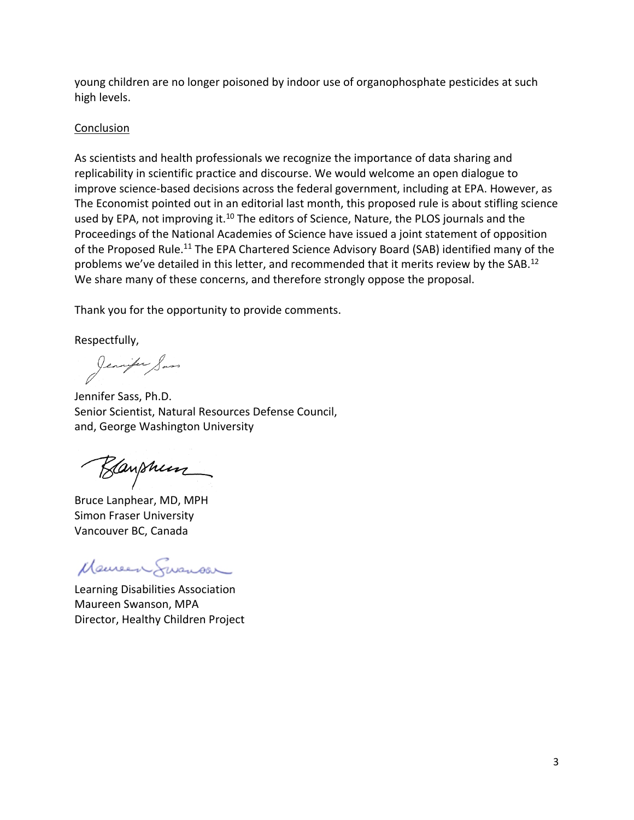young children are no longer poisoned by indoor use of organophosphate pesticides at such high levels.

#### **Conclusion**

As scientists and health professionals we recognize the importance of data sharing and replicability in scientific practice and discourse. We would welcome an open dialogue to improve science-based decisions across the federal government, including at EPA. However, as The Economist pointed out in an editorial last month, this proposed rule is about stifling science used by EPA, not improving it.<sup>10</sup> The editors of Science, Nature, the PLOS journals and the Proceedings of the National Academies of Science have issued a joint statement of opposition of the Proposed Rule.<sup>11</sup> The EPA Chartered Science Advisory Board (SAB) identified many of the problems we've detailed in this letter, and recommended that it merits review by the SAB.<sup>12</sup> We share many of these concerns, and therefore strongly oppose the proposal.

Thank you for the opportunity to provide comments.

Respectfully,

Jennifer Sass, Ph.D.

Senior Scientist, Natural Resources Defense Council, and, George Washington University

Kanshum

Bruce Lanphear, MD, MPH Simon Fraser University Vancouver BC, Canada

Maureen Susnow

Learning Disabilities Association Maureen Swanson, MPA Director, Healthy Children Project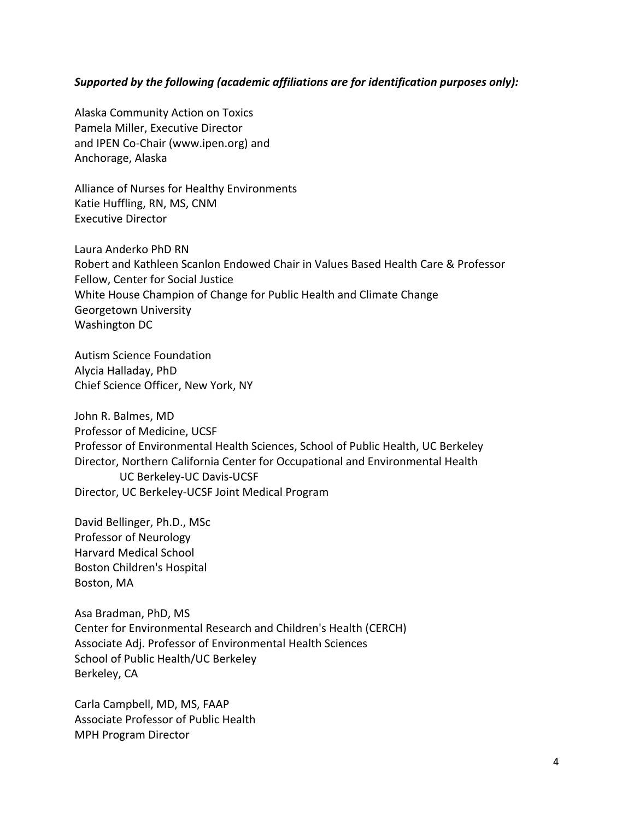#### *Supported by the following (academic affiliations are for identification purposes only):*

Alaska Community Action on Toxics Pamela Miller, Executive Director and IPEN Co-Chair (www.ipen.org) and Anchorage, Alaska

Alliance of Nurses for Healthy Environments Katie Huffling, RN, MS, CNM Executive Director

Laura Anderko PhD RN Robert and Kathleen Scanlon Endowed Chair in Values Based Health Care & Professor Fellow, Center for Social Justice White House Champion of Change for Public Health and Climate Change Georgetown University Washington DC

Autism Science Foundation Alycia Halladay, PhD Chief Science Officer, New York, NY

John R. Balmes, MD Professor of Medicine, UCSF Professor of Environmental Health Sciences, School of Public Health, UC Berkeley Director, Northern California Center for Occupational and Environmental Health UC Berkeley-UC Davis-UCSF Director, UC Berkeley-UCSF Joint Medical Program

David Bellinger, Ph.D., MSc Professor of Neurology Harvard Medical School Boston Children's Hospital Boston, MA

Asa Bradman, PhD, MS Center for Environmental Research and Children's Health (CERCH) Associate Adj. Professor of Environmental Health Sciences School of Public Health/UC Berkeley Berkeley, CA

Carla Campbell, MD, MS, FAAP Associate Professor of Public Health MPH Program Director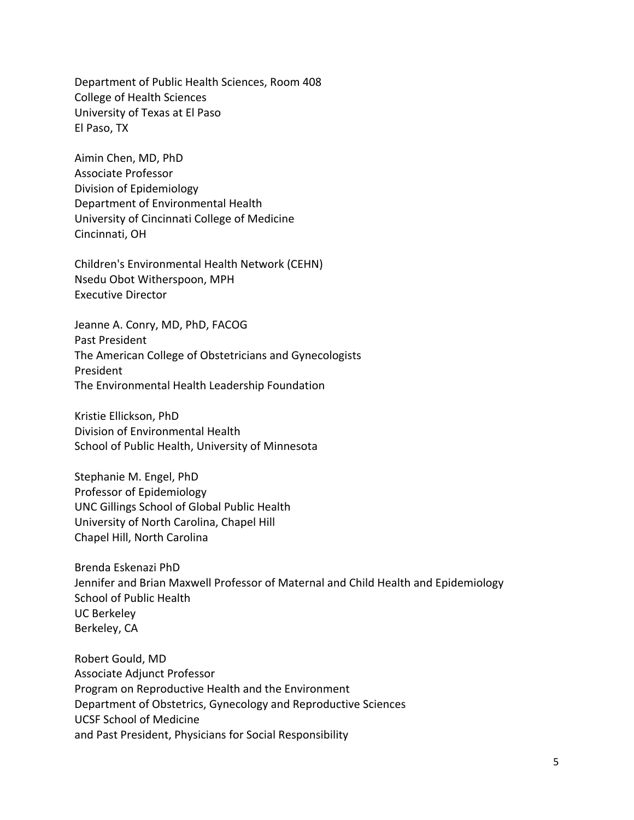Department of Public Health Sciences, Room 408 College of Health Sciences University of Texas at El Paso El Paso, TX

Aimin Chen, MD, PhD Associate Professor Division of Epidemiology Department of Environmental Health University of Cincinnati College of Medicine Cincinnati, OH

Children's Environmental Health Network (CEHN) Nsedu Obot Witherspoon, MPH Executive Director

Jeanne A. Conry, MD, PhD, FACOG Past President The American College of Obstetricians and Gynecologists President The Environmental Health Leadership Foundation

Kristie Ellickson, PhD Division of Environmental Health School of Public Health, University of Minnesota

Stephanie M. Engel, PhD Professor of Epidemiology UNC Gillings School of Global Public Health University of North Carolina, Chapel Hill Chapel Hill, North Carolina

Brenda Eskenazi PhD Jennifer and Brian Maxwell Professor of Maternal and Child Health and Epidemiology School of Public Health UC Berkeley Berkeley, CA

Robert Gould, MD Associate Adjunct Professor Program on Reproductive Health and the Environment Department of Obstetrics, Gynecology and Reproductive Sciences UCSF School of Medicine and Past President, Physicians for Social Responsibility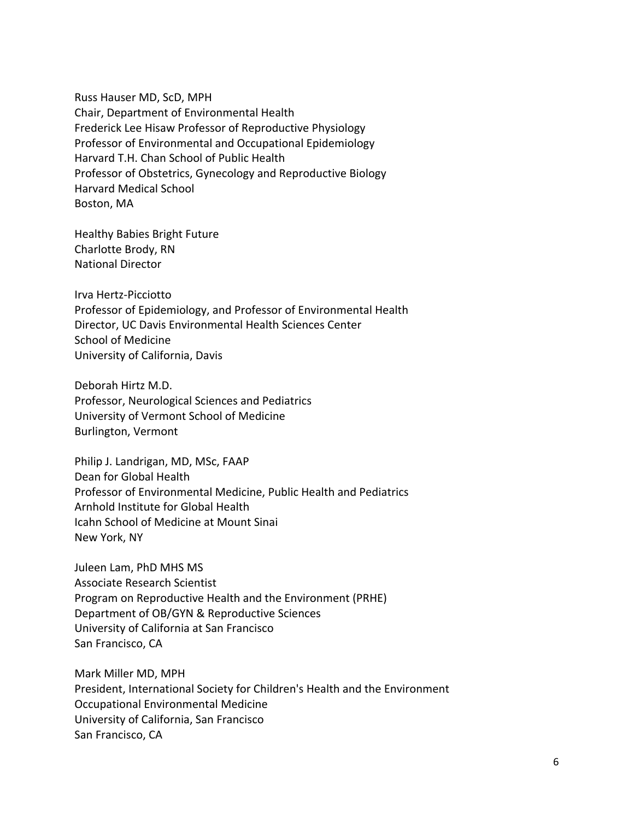Russ Hauser MD, ScD, MPH Chair, Department of Environmental Health Frederick Lee Hisaw Professor of Reproductive Physiology Professor of Environmental and Occupational Epidemiology Harvard T.H. Chan School of Public Health Professor of Obstetrics, Gynecology and Reproductive Biology Harvard Medical School Boston, MA

Healthy Babies Bright Future Charlotte Brody, RN National Director

Irva Hertz-Picciotto Professor of Epidemiology, and Professor of Environmental Health Director, UC Davis Environmental Health Sciences Center School of Medicine University of California, Davis

Deborah Hirtz M.D. Professor, Neurological Sciences and Pediatrics University of Vermont School of Medicine Burlington, Vermont

Philip J. Landrigan, MD, MSc, FAAP Dean for Global Health Professor of Environmental Medicine, Public Health and Pediatrics Arnhold Institute for Global Health Icahn School of Medicine at Mount Sinai New York, NY

Juleen Lam, PhD MHS MS Associate Research Scientist Program on Reproductive Health and the Environment (PRHE) Department of OB/GYN & Reproductive Sciences University of California at San Francisco San Francisco, CA

Mark Miller MD, MPH President, International Society for Children's Health and the Environment Occupational Environmental Medicine University of California, San Francisco San Francisco, CA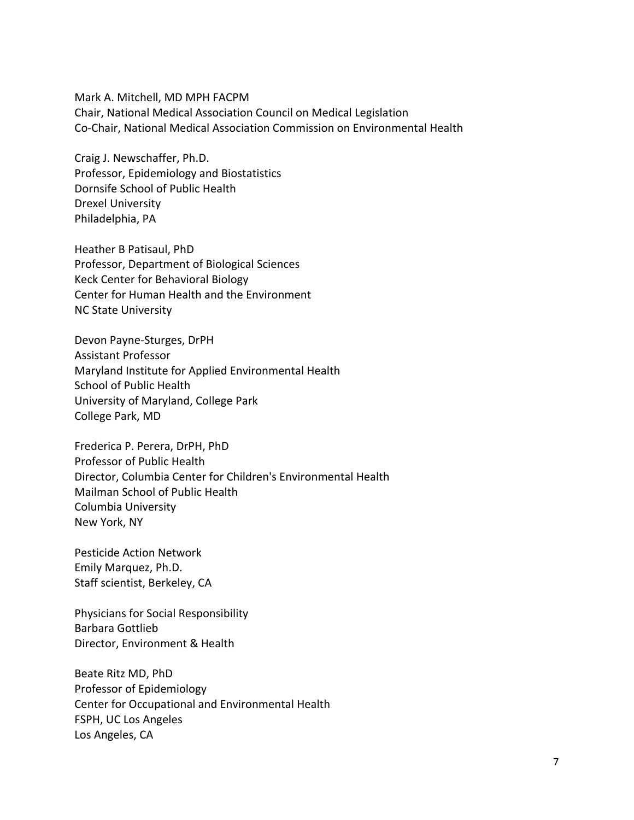Mark A. Mitchell, MD MPH FACPM Chair, National Medical Association Council on Medical Legislation Co-Chair, National Medical Association Commission on Environmental Health

Craig J. Newschaffer, Ph.D. Professor, Epidemiology and Biostatistics Dornsife School of Public Health Drexel University Philadelphia, PA

Heather B Patisaul, PhD Professor, Department of Biological Sciences Keck Center for Behavioral Biology Center for Human Health and the Environment NC State University

Devon Payne-Sturges, DrPH Assistant Professor Maryland Institute for Applied Environmental Health School of Public Health University of Maryland, College Park College Park, MD

Frederica P. Perera, DrPH, PhD Professor of Public Health Director, Columbia Center for Children's Environmental Health Mailman School of Public Health Columbia University New York, NY

Pesticide Action Network Emily Marquez, Ph.D. Staff scientist, Berkeley, CA

Physicians for Social Responsibility Barbara Gottlieb Director, Environment & Health

Beate Ritz MD, PhD Professor of Epidemiology Center for Occupational and Environmental Health FSPH, UC Los Angeles Los Angeles, CA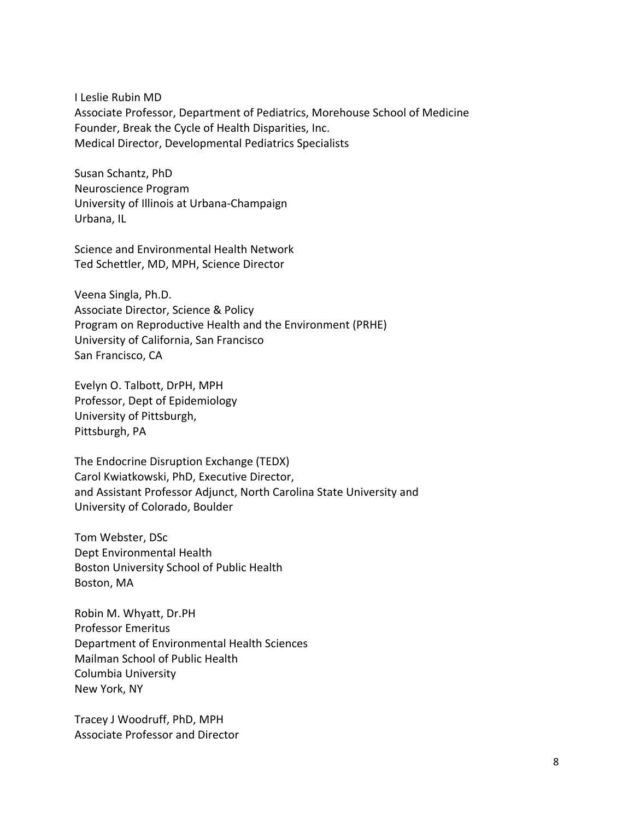I Leslie Rubin MD Associate Professor, Department of Pediatrics, Morehouse School of Medicine Founder, Break the Cycle of Health Disparities, Inc. Medical Director, Developmental Pediatrics Specialists

Susan Schantz, PhD Neuroscience Program University of Illinois at Urbana-Champaign Urbana, IL

Science and Environmental Health Network Ted Schettler, MD, MPH, Science Director

Veena Singla, Ph.D. Associate Director, Science & Policy Program on Reproductive Health and the Environment (PRHE) University of California, San Francisco San Francisco, CA

Evelyn O. Talbott, DrPH, MPH Professor, Dept of Epidemiology University of Pittsburgh, Pittsburgh, PA

The Endocrine Disruption Exchange (TEDX) Carol Kwiatkowski, PhD, Executive Director, and Assistant Professor Adjunct, North Carolina State University and University of Colorado, Boulder

Tom Webster, DSc Dept Environmental Health Boston University School of Public Health Boston, MA

Robin M. Whyatt, Dr.PH Professor Emeritus Department of Environmental Health Sciences Mailman School of Public Health Columbia University New York, NY

Tracey J Woodruff, PhD, MPH Associate Professor and Director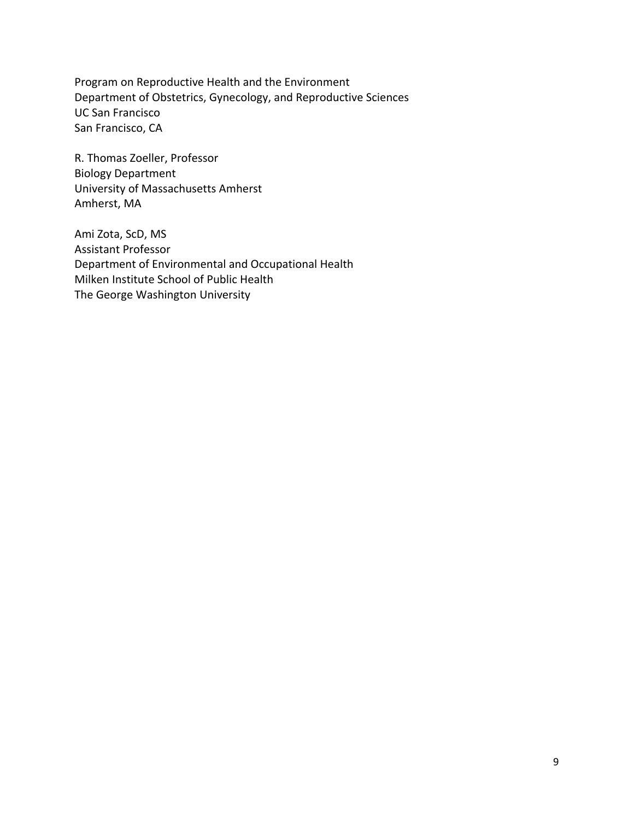Program on Reproductive Health and the Environment Department of Obstetrics, Gynecology, and Reproductive Sciences UC San Francisco San Francisco, CA

R. Thomas Zoeller, Professor Biology Department University of Massachusetts Amherst Amherst, MA

Ami Zota, ScD, MS Assistant Professor Department of Environmental and Occupational Health Milken Institute School of Public Health The George Washington University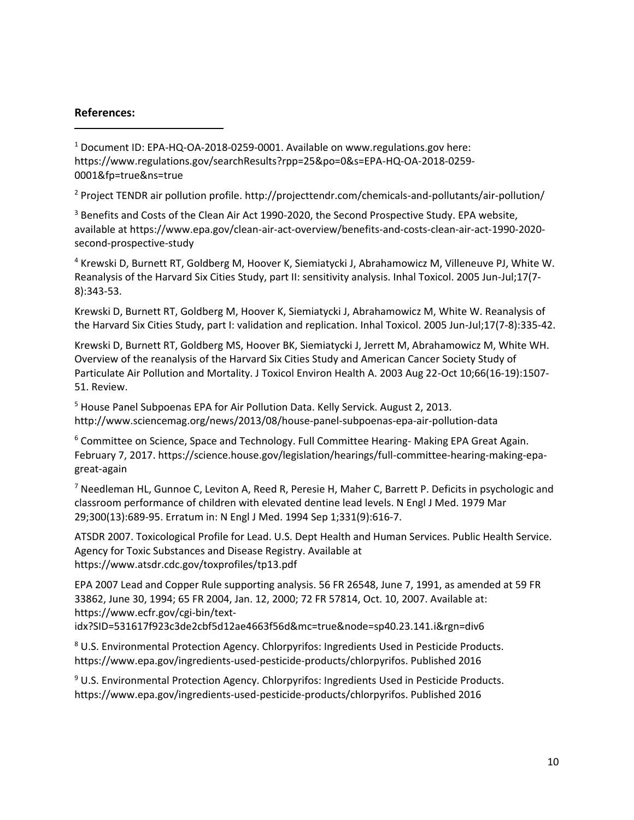#### **References:**

 $\overline{\phantom{a}}$ 

<sup>1</sup> Document ID: EPA-HQ-OA-2018-0259-0001. Available on [www.regulations.gov](http://www.regulations.gov/) here: https://www.regulations.gov/searchResults?rpp=25&po=0&s=EPA-HQ-OA-2018-0259- 0001&fp=true&ns=true

<sup>2</sup> Project TENDR air pollution profile. http://projecttendr.com/chemicals-and-pollutants/air-pollution/

<sup>3</sup> Benefits and Costs of the Clean Air Act 1990-2020, the Second Prospective Study. EPA website, available at https://www.epa.gov/clean-air-act-overview/benefits-and-costs-clean-air-act-1990-2020 second-prospective-study

<sup>4</sup> Krewski D, Burnett RT, Goldberg M, Hoover K, Siemiatycki J, Abrahamowicz M, Villeneuve PJ, White W. Reanalysis of the Harvard Six Cities Study, part II: sensitivity analysis. Inhal Toxicol. 2005 Jun-Jul;17(7- 8):343-53.

Krewski D, Burnett RT, Goldberg M, Hoover K, Siemiatycki J, Abrahamowicz M, White W. Reanalysis of the Harvard Six Cities Study, part I: validation and replication. Inhal Toxicol. 2005 Jun-Jul;17(7-8):335-42.

Krewski D, Burnett RT, Goldberg MS, Hoover BK, Siemiatycki J, Jerrett M, Abrahamowicz M, White WH. Overview of the reanalysis of the Harvard Six Cities Study and American Cancer Society Study of Particulate Air Pollution and Mortality. J Toxicol Environ Health A. 2003 Aug 22-Oct 10;66(16-19):1507- 51. Review.

<sup>5</sup> House Panel Subpoenas EPA for Air Pollution Data. Kelly Servick. August 2, 2013. http://www.sciencemag.org/news/2013/08/house-panel-subpoenas-epa-air-pollution-data

<sup>6</sup> Committee on Science, Space and Technology. Full Committee Hearing- Making EPA Great Again. February 7, 2017. https://science.house.gov/legislation/hearings/full-committee-hearing-making-epagreat-again

 $7$  Needleman HL, Gunnoe C, Leviton A, Reed R, Peresie H, Maher C, Barrett P. Deficits in psychologic and classroom performance of children with elevated dentine lead levels. N Engl J Med. 1979 Mar 29;300(13):689-95. Erratum in: N Engl J Med. 1994 Sep 1;331(9):616-7.

ATSDR 2007. Toxicological Profile for Lead. U.S. Dept Health and Human Services. Public Health Service. Agency for Toxic Substances and Disease Registry. Available at https://www.atsdr.cdc.gov/toxprofiles/tp13.pdf

EPA 2007 Lead and Copper Rule supporting analysis. 56 FR 26548, June 7, 1991, as amended at 59 FR 33862, June 30, 1994; 65 FR 2004, Jan. 12, 2000; 72 FR 57814, Oct. 10, 2007. Available at: https://www.ecfr.gov/cgi-bin/text-

idx?SID=531617f923c3de2cbf5d12ae4663f56d&mc=true&node=sp40.23.141.i&rgn=div6

<sup>8</sup> U.S. Environmental Protection Agency. Chlorpyrifos: Ingredients Used in Pesticide Products. https://www.epa.gov/ingredients-used-pesticide-products/chlorpyrifos. Published 2016

<sup>9</sup> U.S. Environmental Protection Agency. Chlorpyrifos: Ingredients Used in Pesticide Products. https://www.epa.gov/ingredients-used-pesticide-products/chlorpyrifos. Published 2016